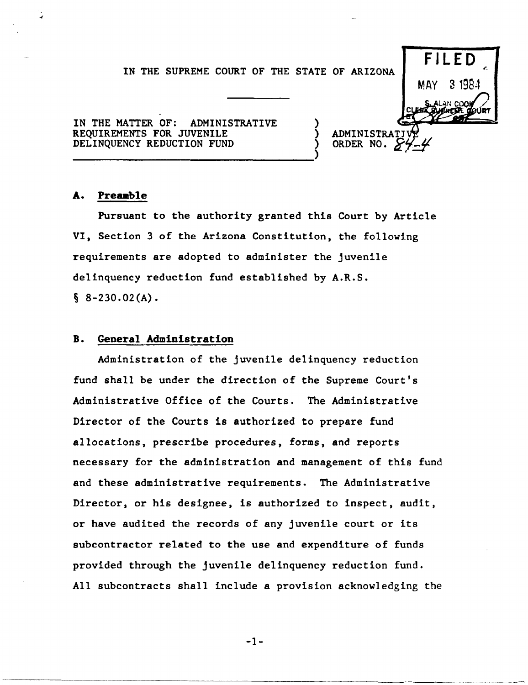## IN THE SUPREME COURT OF THE STATE OF ARIZONA



**ADMINISTR** ORDER NO

IN THE MATTER OF: ADMINISTRATIVE REQUIREMENTS FOR JUVENILE DELINQUENCY REDUCTION FUND

-------------------------------)

## A. Preamble

Pursuant to the authority granted this Court by Article VI, Section 3 of the Arizona Constitution, the following requirements are adopted to administer the juvenile delinquency reduction fund established by A.R.S.  $§ 8-230.02(A)$ .

## B. General Administration

Administration of the juvenile delinquency reduction fund shall be under the direction of the Supreme Court's Administrative Office of the Courts. The Administrative Director of the Courts is authorized to prepare fund allocations, prescribe procedures, forms, and reports necessary for the administration and management of this fund and these administrative requirements. The Administrative Director, or his designee, is authorized to inspect, audit, or have audited the records of any juvenile court or its subcontractor related to the use and expenditure of funds provided through the juvenile delinquency reduction fund. All subcontracts shall include a provision acknowledging the

-1-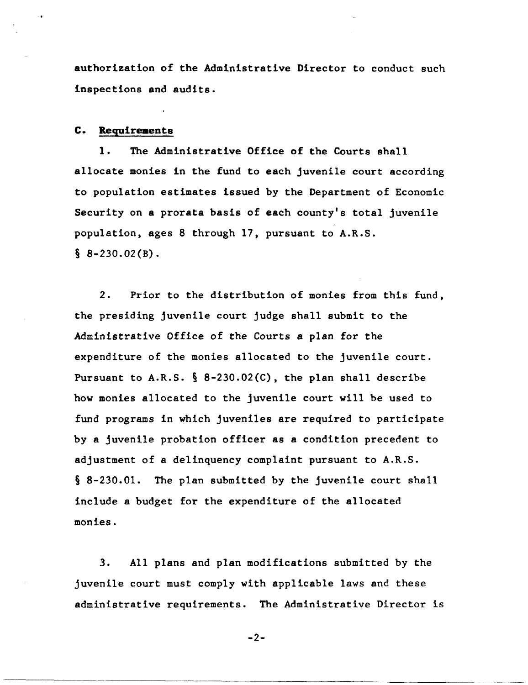authorization of the Administrative Director to conduct such inspections and audits.

## C. Requirements

1. The Administrative Office of the Courts shall allocate monies in the fund to each juvenile court according to population estimates issued by the Department of Economic Security on a prorata basis of each county's total juvenile population, ages 8 through 17, pursuant to A.R.S.  $§ 8 - 230.02(B).$ 

2. Prior to the distribution of monies from this fund, the presiding juvenile court judge shall submit to the Administrative Office of the Courts a plan for the expenditure of the monies allocated to the juvenile court. Pursuant to A.R.S.  $\S$  8-230.02(C), the plan shall describe how monies allocated to the juvenile court will be used to fund programs in which juveniles are required to participate by a juvenile probation officer as a condition precedent to adjustment of a delinquency complaint pursuant to A.R.S. § 8-230.01. The plan submitted by the juvenile court shall include a budget for the expenditure of the allocated monies.

3. All plans and plan modifications submitted by the juvenile court must comply with applicable laws and these administrative requirements. The Administrative Director is

-2-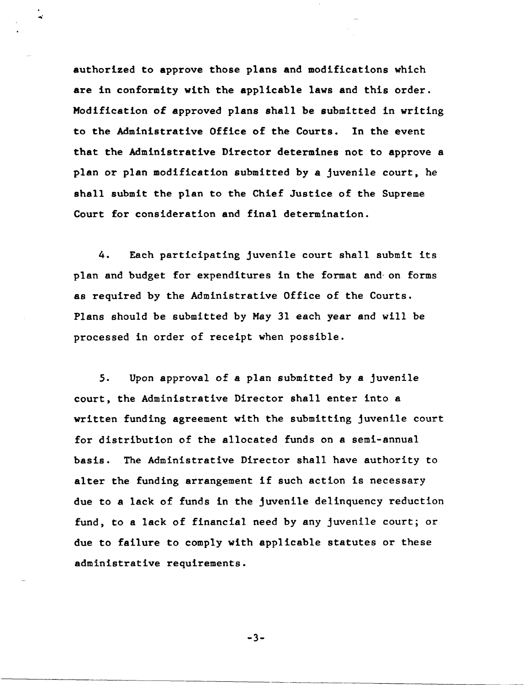authorized to approve those plans and modifications which are in conformity with the applicable laws and this order. Modification of approved plans shall be submitted in writing to the Administrative Office of the Courts. In the event that the Administrative Director determines not to approve a plan or plan modification submitted by a juvenile court, he shall submit the plan to the Chief Justice of the Supreme Court for consideration and final determination.

4. Each participating juvenile court shall submit its plan and budget for expenditures in the format and· on forms as required by the Administrative Office of the Courts. Plans should be submitted by May 31 each year and will be processed in order of receipt when possible.

5. Upon approval of a plan submitted by a juvenile court, the Administrative Director shall enter into a written funding agreement with the submitting juvenile court for distribution of the allocated funds on a semi-annual basis. The Administrative Director shall have authority to alter the funding arrangement if such action is necessary due to a lack of funds in the juvenile delinquency reduction fund, to a lack of financial need by any juvenile court; or due to failure to comply with applicable statutes or these administrative requirements.

-3-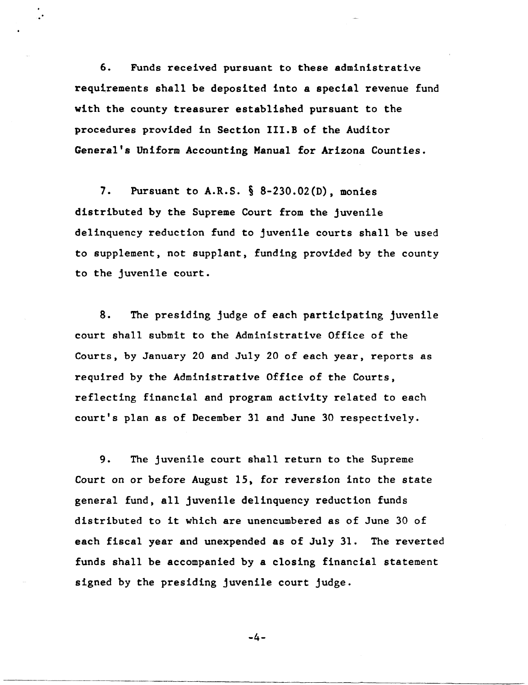6. Funds received pursuant to these administrative requirements shall be deposited into a special revenue fund with the county treasurer established pursuant to the procedures provided in Section III.B of the Auditor General's Uniform Accounting Manual for Arizona Counties.

.'

7. Pursuant to A.R.S. § 8-230.02(D) , monies distributed by the Supreme Court from the juvenile delinquency reduction fund to juvenile courts shall be used to supplement, not supplant, funding provided by the county to the juvenile court.

8. The presiding judge of each participating juvenile court shall submit to the Administrative Office of the Courts, by January 20 and July 20 of each year, reports as required by the Administrative Office of the Courts, reflecting financial and program activity related to each court's plan as of December 31 and June 30 respectively.

9. The juvenile court shall return to the Supreme Court on or before August 15, for reversion into the state general fund, all juvenile delinquency reduction funds distributed to it which are unencumbered as of June 30 of each fiscal year and unexpended as of July 31. The reverted funds shall be accompanied by a closing financial statement signed by the presiding juvenile court judge.

-4-